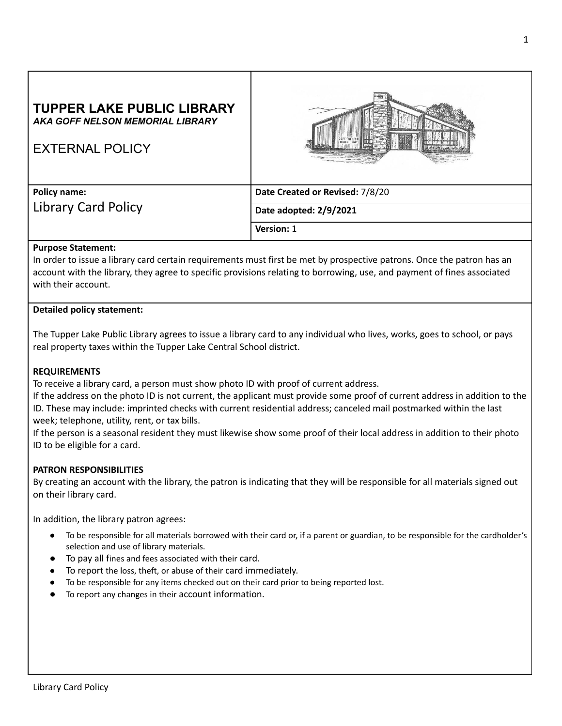# **TUPPER LAKE PUBLIC LIBRARY** *AKA GOFF NELSON MEMORIAL LIBRARY*



EXTERNAL POLICY

**Policy name:** Library Card Policy **Date Created or Revised:** 7/8/20 **Date adopted: 2/9/2021 Version:** 1

# **Purpose Statement:**

In order to issue a library card certain requirements must first be met by prospective patrons. Once the patron has an account with the library, they agree to specific provisions relating to borrowing, use, and payment of fines associated with their account.

# **Detailed policy statement:**

The Tupper Lake Public Library agrees to issue a library card to any individual who lives, works, goes to school, or pays real property taxes within the Tupper Lake Central School district.

# **REQUIREMENTS**

To receive a library card, a person must show photo ID with proof of current address.

If the address on the photo ID is not current, the applicant must provide some proof of current address in addition to the ID. These may include: imprinted checks with current residential address; canceled mail postmarked within the last week; telephone, utility, rent, or tax bills.

If the person is a seasonal resident they must likewise show some proof of their local address in addition to their photo ID to be eligible for a card.

# **PATRON RESPONSIBILITIES**

By creating an account with the library, the patron is indicating that they will be responsible for all materials signed out on their library card.

In addition, the library patron agrees:

- To be responsible for all materials borrowed with their card or, if a parent or guardian, to be responsible for the cardholder's selection and use of library materials.
- To pay all fines and fees associated with their card.
- To report the loss, theft, or abuse of their card immediately.
- To be responsible for any items checked out on their card prior to being reported lost.
- To report any changes in their account information.